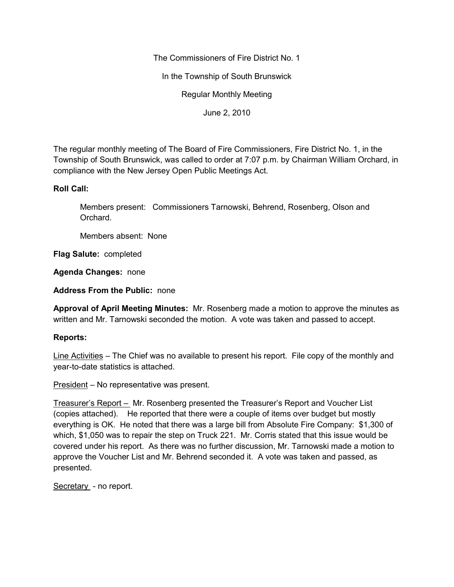The Commissioners of Fire District No. 1

In the Township of South Brunswick

Regular Monthly Meeting

June 2, 2010

The regular monthly meeting of The Board of Fire Commissioners, Fire District No. 1, in the Township of South Brunswick, was called to order at 7:07 p.m. by Chairman William Orchard, in compliance with the New Jersey Open Public Meetings Act.

## **Roll Call:**

Members present: Commissioners Tarnowski, Behrend, Rosenberg, Olson and Orchard.

Members absent: None

**Flag Salute:** completed

**Agenda Changes:** none

**Address From the Public:** none

**Approval of April Meeting Minutes:** Mr. Rosenberg made a motion to approve the minutes as written and Mr. Tarnowski seconded the motion. A vote was taken and passed to accept.

# **Reports:**

Line Activities – The Chief was no available to present his report. File copy of the monthly and year-to-date statistics is attached.

President – No representative was present.

Treasurer's Report – Mr. Rosenberg presented the Treasurer's Report and Voucher List (copies attached). He reported that there were a couple of items over budget but mostly everything is OK. He noted that there was a large bill from Absolute Fire Company: \$1,300 of which, \$1,050 was to repair the step on Truck 221. Mr. Corris stated that this issue would be covered under his report. As there was no further discussion, Mr. Tarnowski made a motion to approve the Voucher List and Mr. Behrend seconded it. A vote was taken and passed, as presented.

Secretary - no report.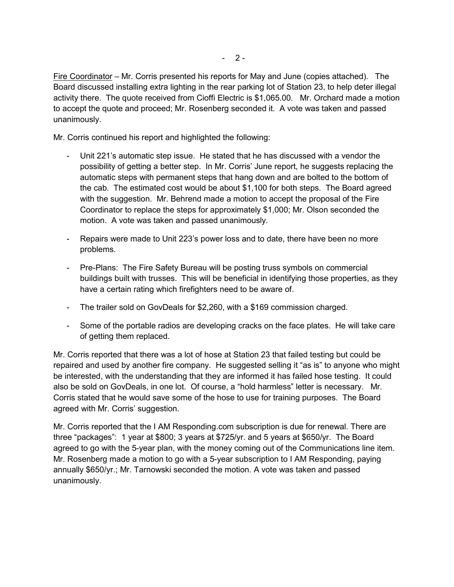Fire Coordinator – Mr. Corris presented his reports for May and June (copies attached). The Board discussed installing extra lighting in the rear parking lot of Station 23, to help deter illegal activity there. The quote received from Cioffi Electric is \$1,065.00. Mr. Orchard made a motion to accept the quote and proceed; Mr. Rosenberg seconded it. A vote was taken and passed unanimously.

Mr. Corris continued his report and highlighted the following:

- Unit 221's automatic step issue. He stated that he has discussed with a vendor the possibility of getting a better step. In Mr. Corris' June report, he suggests replacing the automatic steps with permanent steps that hang down and are bolted to the bottom of the cab. The estimated cost would be about \$1,100 for both steps. The Board agreed with the suggestion. Mr. Behrend made a motion to accept the proposal of the Fire Coordinator to replace the steps for approximately \$1,000; Mr. Olson seconded the motion. A vote was taken and passed unanimously.
- Repairs were made to Unit 223's power loss and to date, there have been no more problems.
- Pre-Plans: The Fire Safety Bureau will be posting truss symbols on commercial buildings built with trusses. This will be beneficial in identifying those properties, as they have a certain rating which firefighters need to be aware of.
- The trailer sold on GovDeals for \$2,260, with a \$169 commission charged.
- Some of the portable radios are developing cracks on the face plates. He will take care of getting them replaced.

Mr. Corris reported that there was a lot of hose at Station 23 that failed testing but could be repaired and used by another fire company. He suggested selling it "as is" to anyone who might be interested, with the understanding that they are informed it has failed hose testing. It could also be sold on GovDeals, in one lot. Of course, a "hold harmless" letter is necessary. Mr. Corris stated that he would save some of the hose to use for training purposes. The Board agreed with Mr. Corris' suggestion.

Mr. Corris reported that the I AM Responding.com subscription is due for renewal. There are three "packages": 1 year at \$800; 3 years at \$725/yr. and 5 years at \$650/yr. The Board agreed to go with the 5-year plan, with the money coming out of the Communications line item. Mr. Rosenberg made a motion to go with a 5-year subscription to I AM Responding, paying annually \$650/yr.; Mr. Tarnowski seconded the motion. A vote was taken and passed unanimously.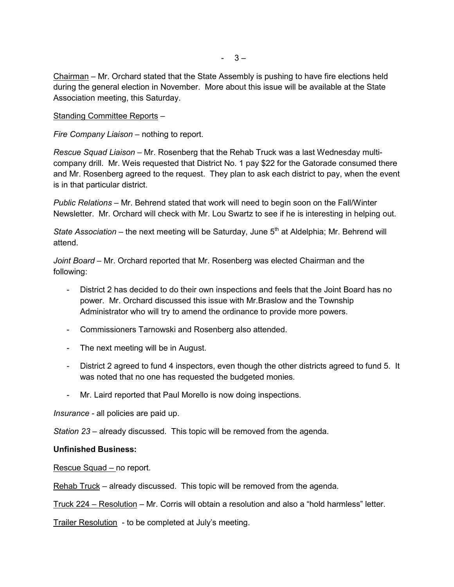Chairman – Mr. Orchard stated that the State Assembly is pushing to have fire elections held during the general election in November. More about this issue will be available at the State Association meeting, this Saturday.

Standing Committee Reports –

*Fire Company Liaison –* nothing to report.

*Rescue Squad Liaison –* Mr. Rosenberg that the Rehab Truck was a last Wednesday multi company drill. Mr. Weis requested that District No. 1 pay \$22 for the Gatorade consumed there and Mr. Rosenberg agreed to the request. They plan to ask each district to pay, when the event is in that particular district.

*Public Relations –* Mr. Behrend stated that work will need to begin soon on the Fall/Winter Newsletter. Mr. Orchard will check with Mr. Lou Swartz to see if he is interesting in helping out.

*State Association* – the next meeting will be Saturday, June 5<sup>th</sup> at Aldelphia; Mr. Behrend will attend.

*Joint Board –* Mr. Orchard reported that Mr. Rosenberg was elected Chairman and the following:

- District 2 has decided to do their own inspections and feels that the Joint Board has no power. Mr. Orchard discussed this issue with Mr.Braslow and the Township Administrator who will try to amend the ordinance to provide more powers.
- Commissioners Tarnowski and Rosenberg also attended.
- The next meeting will be in August.
- District 2 agreed to fund 4 inspectors, even though the other districts agreed to fund 5. It was noted that no one has requested the budgeted monies.
- Mr. Laird reported that Paul Morello is now doing inspections.

*Insurance -* all policies are paid up.

*Station 23 –* already discussed. This topic will be removed from the agenda.

### **Unfinished Business:**

Rescue Squad – no report.

Rehab Truck – already discussed. This topic will be removed from the agenda.

Truck 224 – Resolution – Mr. Corris will obtain a resolution and also a "hold harmless" letter.

Trailer Resolution - to be completed at July's meeting.